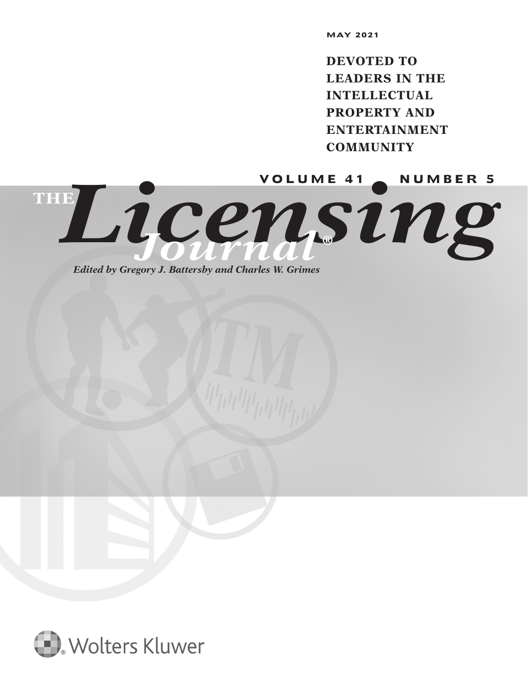**DEVOTED TO LEADERS IN THE INTELLECTUAL PROPERTY AND ENTERTAINMENT COMMUNITY**

Licensin<sup>ware 41</sup> **THE** *Journal* **®**

*Edited by Gregory J. Battersby and Charles W. Grimes*

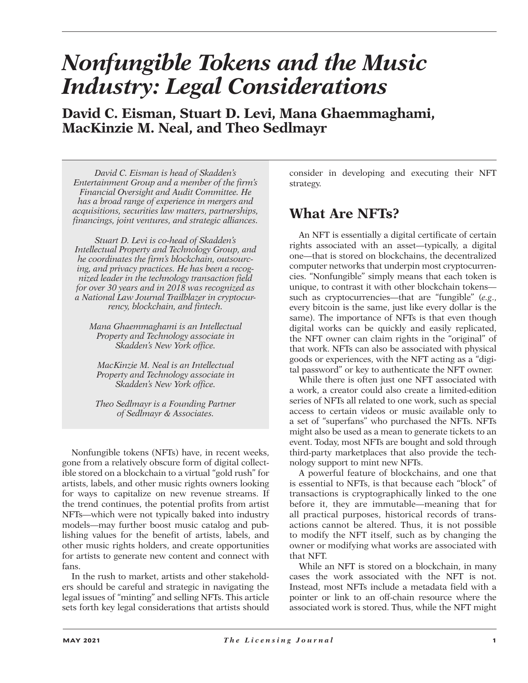# *Nonfungible Tokens and the Music Industry: Legal Considerations*

**David C. Eisman, Stuart D. Levi, Mana Ghaemmaghami, MacKinzie M. Neal, and Theo Sedlmayr**

*David C. Eisman is head of Skadden's Entertainment Group and a member of the firm's Financial Oversight and Audit Committee. He has a broad range of experience in mergers and acquisitions, securities law matters, partnerships, financings, joint ventures, and strategic alliances.*

*Stuart D. Levi is co-head of Skadden's Intellectual Property and Technology Group, and he coordinates the firm's blockchain, outsourcing, and privacy practices. He has been a recognized leader in the technology transaction field for over 30 years and in 2018 was recognized as a National Law Journal Trailblazer in cryptocurrency, blockchain, and fintech.*

*Mana Ghaemmaghami is an Intellectual Property and Technology associate in Skadden's New York office.*

*MacKinzie M. Neal is an Intellectual Property and Technology associate in Skadden's New York office.*

*Theo Sedlmayr is a Founding Partner of Sedlmayr & Associates.*

Nonfungible tokens (NFTs) have, in recent weeks, gone from a relatively obscure form of digital collectible stored on a blockchain to a virtual "gold rush" for artists, labels, and other music rights owners looking for ways to capitalize on new revenue streams. If the trend continues, the potential profits from artist NFTs—which were not typically baked into industry models—may further boost music catalog and publishing values for the benefit of artists, labels, and other music rights holders, and create opportunities for artists to generate new content and connect with fans.

In the rush to market, artists and other stakeholders should be careful and strategic in navigating the legal issues of "minting" and selling NFTs. This article sets forth key legal considerations that artists should consider in developing and executing their NFT strategy.

### **What Are NFTs?**

An NFT is essentially a digital certificate of certain rights associated with an asset—typically, a digital one—that is stored on blockchains, the decentralized computer networks that underpin most cryptocurrencies. "Nonfungible" simply means that each token is unique, to contrast it with other blockchain tokens such as cryptocurrencies—that are "fungible" (*e.g*., every bitcoin is the same, just like every dollar is the same). The importance of NFTs is that even though digital works can be quickly and easily replicated, the NFT owner can claim rights in the "original" of that work. NFTs can also be associated with physical goods or experiences, with the NFT acting as a "digital password" or key to authenticate the NFT owner.

While there is often just one NFT associated with a work, a creator could also create a limited-edition series of NFTs all related to one work, such as special access to certain videos or music available only to a set of "superfans" who purchased the NFTs. NFTs might also be used as a mean to generate tickets to an event. Today, most NFTs are bought and sold through third-party marketplaces that also provide the technology support to mint new NFTs.

A powerful feature of blockchains, and one that is essential to NFTs, is that because each "block" of transactions is cryptographically linked to the one before it, they are immutable—meaning that for all practical purposes, historical records of transactions cannot be altered. Thus, it is not possible to modify the NFT itself, such as by changing the owner or modifying what works are associated with that NFT.

While an NFT is stored on a blockchain, in many cases the work associated with the NFT is not. Instead, most NFTs include a metadata field with a pointer or link to an off-chain resource where the associated work is stored. Thus, while the NFT might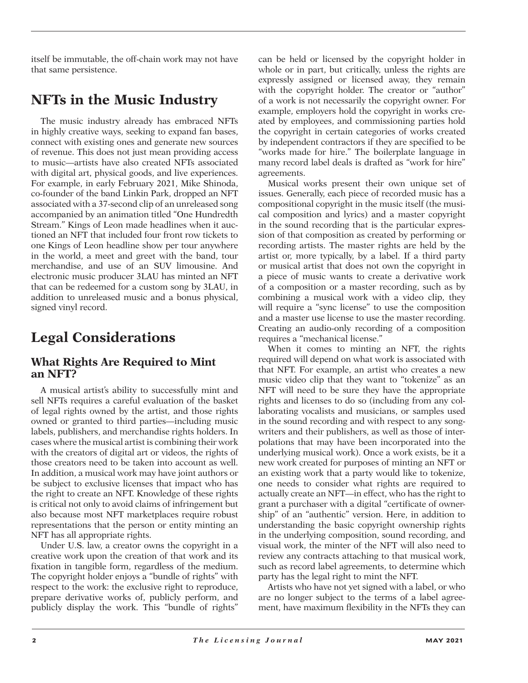itself be immutable, the off-chain work may not have that same persistence.

### **NFTs in the Music Industry**

The music industry already has embraced NFTs in highly creative ways, seeking to expand fan bases, connect with existing ones and generate new sources of revenue. This does not just mean providing access to music—artists have also created NFTs associated with digital art, physical goods, and live experiences. For example, in early February 2021, Mike Shinoda, co-founder of the band Linkin Park, dropped an NFT associated with a 37-second clip of an unreleased song accompanied by an animation titled "One Hundredth Stream." Kings of Leon made headlines when it auctioned an NFT that included four front row tickets to one Kings of Leon headline show per tour anywhere in the world, a meet and greet with the band, tour merchandise, and use of an SUV limousine. And electronic music producer 3LAU has minted an NFT that can be redeemed for a custom song by 3LAU, in addition to unreleased music and a bonus physical, signed vinyl record.

# **Legal Considerations**

#### **What Rights Are Required to Mint an NFT?**

A musical artist's ability to successfully mint and sell NFTs requires a careful evaluation of the basket of legal rights owned by the artist, and those rights owned or granted to third parties—including music labels, publishers, and merchandise rights holders. In cases where the musical artist is combining their work with the creators of digital art or videos, the rights of those creators need to be taken into account as well. In addition, a musical work may have joint authors or be subject to exclusive licenses that impact who has the right to create an NFT. Knowledge of these rights is critical not only to avoid claims of infringement but also because most NFT marketplaces require robust representations that the person or entity minting an NFT has all appropriate rights.

Under U.S. law, a creator owns the copyright in a creative work upon the creation of that work and its fixation in tangible form, regardless of the medium. The copyright holder enjoys a "bundle of rights" with respect to the work: the exclusive right to reproduce, prepare derivative works of, publicly perform, and publicly display the work. This "bundle of rights"

can be held or licensed by the copyright holder in whole or in part, but critically, unless the rights are expressly assigned or licensed away, they remain with the copyright holder. The creator or "author" of a work is not necessarily the copyright owner. For example, employers hold the copyright in works created by employees, and commissioning parties hold the copyright in certain categories of works created by independent contractors if they are specified to be "works made for hire." The boilerplate language in many record label deals is drafted as "work for hire" agreements.

Musical works present their own unique set of issues. Generally, each piece of recorded music has a compositional copyright in the music itself (the musical composition and lyrics) and a master copyright in the sound recording that is the particular expression of that composition as created by performing or recording artists. The master rights are held by the artist or, more typically, by a label. If a third party or musical artist that does not own the copyright in a piece of music wants to create a derivative work of a composition or a master recording, such as by combining a musical work with a video clip, they will require a "sync license" to use the composition and a master use license to use the master recording. Creating an audio-only recording of a composition requires a "mechanical license."

When it comes to minting an NFT, the rights required will depend on what work is associated with that NFT. For example, an artist who creates a new music video clip that they want to "tokenize" as an NFT will need to be sure they have the appropriate rights and licenses to do so (including from any collaborating vocalists and musicians, or samples used in the sound recording and with respect to any songwriters and their publishers, as well as those of interpolations that may have been incorporated into the underlying musical work). Once a work exists, be it a new work created for purposes of minting an NFT or an existing work that a party would like to tokenize, one needs to consider what rights are required to actually create an NFT—in effect, who has the right to grant a purchaser with a digital "certificate of ownership" of an "authentic" version. Here, in addition to understanding the basic copyright ownership rights in the underlying composition, sound recording, and visual work, the minter of the NFT will also need to review any contracts attaching to that musical work, such as record label agreements, to determine which party has the legal right to mint the NFT.

Artists who have not yet signed with a label, or who are no longer subject to the terms of a label agreement, have maximum flexibility in the NFTs they can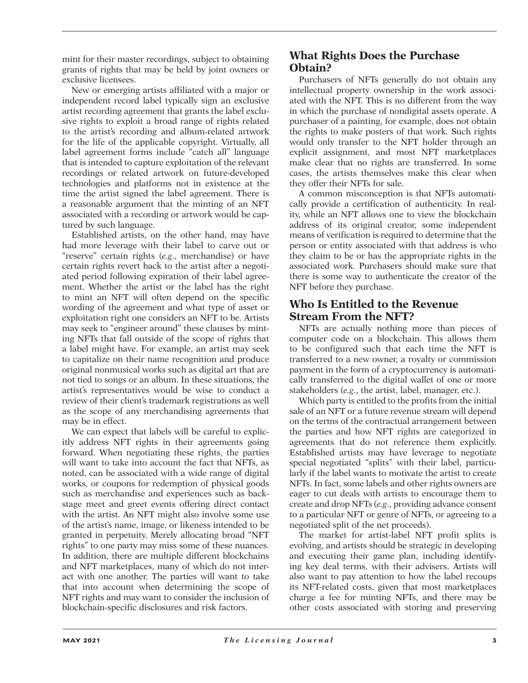mint for their master recordings, subject to obtaining grants of rights that may be held by joint owners or exclusive licensees.

New or emerging artists affiliated with a major or independent record label typically sign an exclusive artist recording agreement that grants the label exclusive rights to exploit a broad range of rights related to the artist's recording and album-related artwork for the life of the applicable copyright. Virtually, all label agreement forms include "catch all" language that is intended to capture exploitation of the relevant recordings or related artwork on future-developed technologies and platforms not in existence at the time the artist signed the label agreement. There is a reasonable argument that the minting of an NFT associated with a recording or artwork would be captured by such language.

Established artists, on the other hand, may have had more leverage with their label to carve out or "reserve" certain rights (*e.g*., merchandise) or have certain rights revert back to the artist after a negotiated period following expiration of their label agreement. Whether the artist or the label has the right to mint an NFT will often depend on the specific wording of the agreement and what type of asset or exploitation right one considers an NFT to be. Artists may seek to "engineer around" these clauses by minting NFTs that fall outside of the scope of rights that a label might have. For example, an artist may seek to capitalize on their name recognition and produce original nonmusical works such as digital art that are not tied to songs or an album. In these situations, the artist's representatives would be wise to conduct a review of their client's trademark registrations as well as the scope of any merchandising agreements that may be in effect.

We can expect that labels will be careful to explicitly address NFT rights in their agreements going forward. When negotiating these rights, the parties will want to take into account the fact that NFTs, as noted, can be associated with a wide range of digital works, or coupons for redemption of physical goods such as merchandise and experiences such as backstage meet and greet events offering direct contact with the artist. An NFT might also involve some use of the artist's name, image, or likeness intended to be granted in perpetuity. Merely allocating broad "NFT rights" to one party may miss some of these nuances. In addition, there are multiple different blockchains and NFT marketplaces, many of which do not interact with one another. The parties will want to take that into account when determining the scope of NFT rights and may want to consider the inclusion of blockchain-specific disclosures and risk factors.

#### **What Rights Does the Purchase Obtain?**

Purchasers of NFTs generally do not obtain any intellectual property ownership in the work associated with the NFT. This is no different from the way in which the purchase of nondigital assets operate. A purchaser of a painting, for example, does not obtain the rights to make posters of that work. Such rights would only transfer to the NFT holder through an explicit assignment, and most NFT marketplaces make clear that no rights are transferred. In some cases, the artists themselves make this clear when they offer their NFTs for sale.

A common misconception is that NFTs automatically provide a certification of authenticity. In reality, while an NFT allows one to view the blockchain address of its original creator, some independent means of verification is required to determine that the person or entity associated with that address is who they claim to be or has the appropriate rights in the associated work. Purchasers should make sure that there is some way to authenticate the creator of the NFT before they purchase.

#### **Who Is Entitled to the Revenue Stream From the NFT?**

NFTs are actually nothing more than pieces of computer code on a blockchain. This allows them to be configured such that each time the NFT is transferred to a new owner, a royalty or commission payment in the form of a cryptocurrency is automatically transferred to the digital wallet of one or more stakeholders (*e.g*., the artist, label, manager, etc.).

Which party is entitled to the profits from the initial sale of an NFT or a future revenue stream will depend on the terms of the contractual arrangement between the parties and how NFT rights are categorized in agreements that do not reference them explicitly. Established artists may have leverage to negotiate special negotiated "splits" with their label, particularly if the label wants to motivate the artist to create NFTs. In fact, some labels and other rights owners are eager to cut deals with artists to encourage them to create and drop NFTs (*e.g*., providing advance consent to a particular NFT or genre of NFTs, or agreeing to a negotiated split of the net proceeds).

The market for artist-label NFT profit splits is evolving, and artists should be strategic in developing and executing their game plan, including identifying key deal terms, with their advisers. Artists will also want to pay attention to how the label recoups its NFT-related costs, given that most marketplaces charge a fee for minting NFTs, and there may be other costs associated with storing and preserving